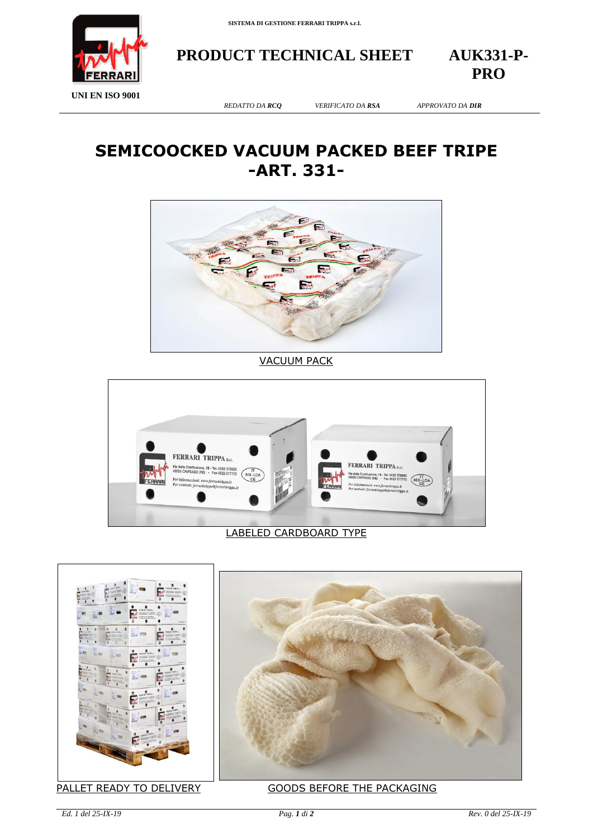

**PRODUCT TECHNICAL SHEET AUK331-P-**

**PRO**

**UNI EN ISO 9001**

*REDATTO DA RCQ VERIFICATO DA RSA APPROVATO DA DIR*

## **SEMICOOCKED VACUUM PACKED BEEF TRIPE -ART. 331-**



VACUUM PACK



## LABELED CARDBOARD TYPE





## PALLET READY TO DELIVERY GOODS BEFORE THE PACKAGING